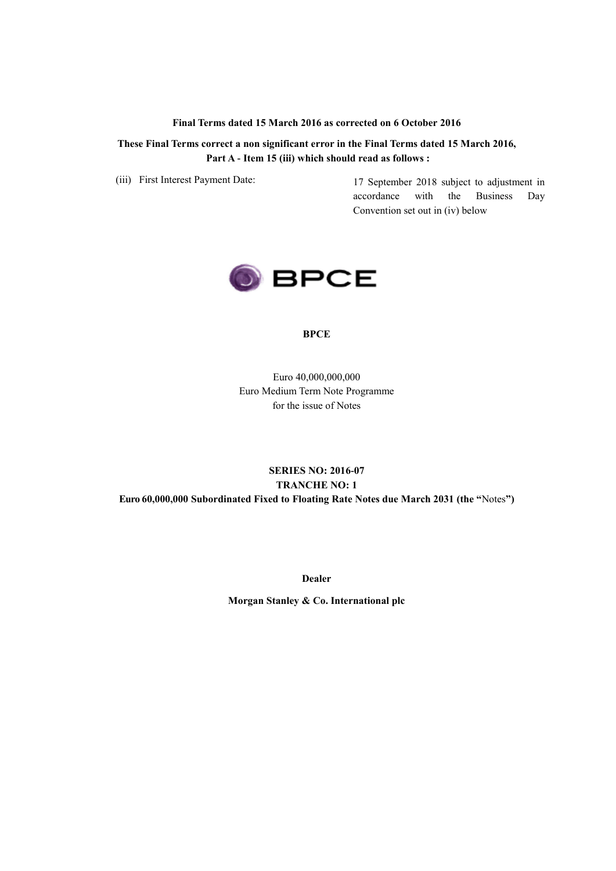#### **Final Terms dated 15 March 2016 as corrected on 6 October 2016**

## **These Final Terms correct a non significant error in the Final Terms dated 15 March 2016, Part A - Item 15 (iii) which should read as follows :**

(iii) First Interest Payment Date: 17 September 2018 subject to adjustment in accordance with the Business Day Convention set out in (iv) below



#### **BPCE**

Euro 40,000,000,000 Euro Medium Term Note Programme for the issue of Notes

# **SERIES NO: 2016-07 TRANCHE NO: 1 Euro 60,000,000 Subordinated Fixed to Floating Rate Notes due March 2031 (the "**Notes**")**

**Dealer**

**Morgan Stanley & Co. International plc**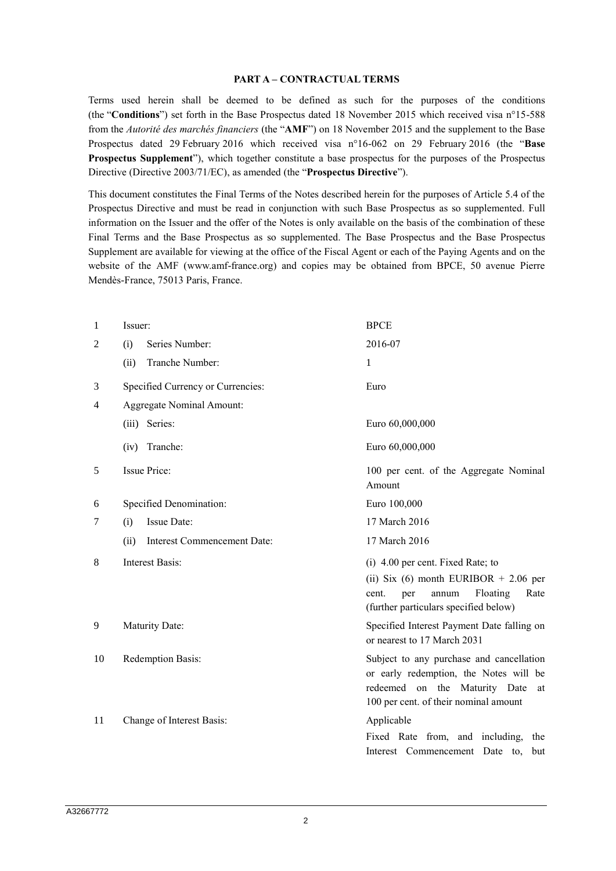#### **PART A – CONTRACTUAL TERMS**

Terms used herein shall be deemed to be defined as such for the purposes of the conditions (the "**Conditions**") set forth in the Base Prospectus dated 18 November 2015 which received visa n°15-588 from the *Autorité des marchés financiers* (the "**AMF**") on 18 November 2015 and the supplement to the Base Prospectus dated 29 February 2016 which received visa n°16-062 on 29 February 2016 (the "**Base Prospectus Supplement**"), which together constitute a base prospectus for the purposes of the Prospectus Directive (Directive 2003/71/EC), as amended (the "**Prospectus Directive**").

This document constitutes the Final Terms of the Notes described herein for the purposes of Article 5.4 of the Prospectus Directive and must be read in conjunction with such Base Prospectus as so supplemented. Full information on the Issuer and the offer of the Notes is only available on the basis of the combination of these Final Terms and the Base Prospectus as so supplemented. The Base Prospectus and the Base Prospectus Supplement are available for viewing at the office of the Fiscal Agent or each of the Paying Agents and on the website of the AMF (www.amf-france.org) and copies may be obtained from BPCE, 50 avenue Pierre Mendès-France, 75013 Paris, France.

| $\mathbf{1}$ | Issuer:                                    | <b>BPCE</b>                                                                                                                                                        |  |  |  |  |  |
|--------------|--------------------------------------------|--------------------------------------------------------------------------------------------------------------------------------------------------------------------|--|--|--|--|--|
| 2            | Series Number:<br>(i)                      | 2016-07                                                                                                                                                            |  |  |  |  |  |
|              | Tranche Number:<br>(ii)                    | $\mathbf{1}$                                                                                                                                                       |  |  |  |  |  |
| 3            | Specified Currency or Currencies:          | Euro                                                                                                                                                               |  |  |  |  |  |
| 4            | Aggregate Nominal Amount:                  |                                                                                                                                                                    |  |  |  |  |  |
|              | (iii) Series:                              | Euro 60,000,000                                                                                                                                                    |  |  |  |  |  |
|              | Tranche:<br>(iv)                           | Euro 60,000,000                                                                                                                                                    |  |  |  |  |  |
| 5            | Issue Price:                               | 100 per cent. of the Aggregate Nominal<br>Amount                                                                                                                   |  |  |  |  |  |
| 6            | Specified Denomination:                    | Euro 100,000                                                                                                                                                       |  |  |  |  |  |
| 7            | Issue Date:<br>(i)                         | 17 March 2016                                                                                                                                                      |  |  |  |  |  |
|              | <b>Interest Commencement Date:</b><br>(ii) | 17 March 2016                                                                                                                                                      |  |  |  |  |  |
| 8            | <b>Interest Basis:</b>                     | (i) 4.00 per cent. Fixed Rate; to                                                                                                                                  |  |  |  |  |  |
|              |                                            | (ii) Six (6) month EURIBOR $+ 2.06$ per<br>Floating<br>cent.<br>per<br>annum<br>Rate<br>(further particulars specified below)                                      |  |  |  |  |  |
| 9            | <b>Maturity Date:</b>                      | Specified Interest Payment Date falling on<br>or nearest to 17 March 2031                                                                                          |  |  |  |  |  |
| 10           | Redemption Basis:                          | Subject to any purchase and cancellation<br>or early redemption, the Notes will be<br>redeemed on the Maturity Date<br>at<br>100 per cent. of their nominal amount |  |  |  |  |  |
| 11           | Change of Interest Basis:                  | Applicable<br>Fixed Rate from, and including,<br>the<br>Interest Commencement Date to,<br>but                                                                      |  |  |  |  |  |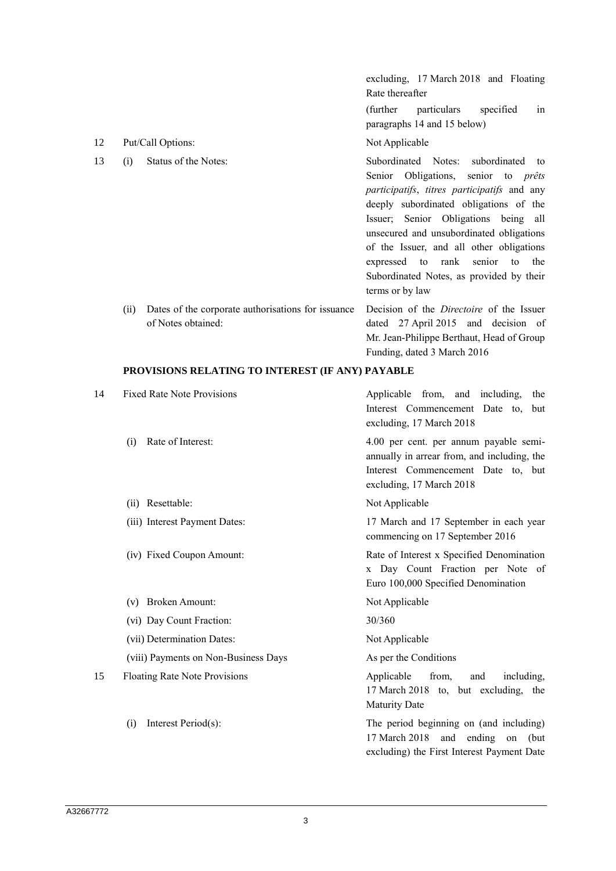(further particulars specified in paragraphs 14 and 15 below) 12 Put/Call Options: Not Applicable 13 (i) Status of the Notes: Subordinated Notes: subordinated to Senior Obligations, senior to *prêts participatifs*, *titres participatifs* and any deeply subordinated obligations of the Issuer; Senior Obligations being all unsecured and unsubordinated obligations of the Issuer, and all other obligations expressed to rank senior to the Subordinated Notes, as provided by their terms or by law (ii) Dates of the corporate authorisations for issuance of Notes obtained: Decision of the *Directoire* of the Issuer dated 27 April 2015 and decision of Mr. Jean-Philippe Berthaut, Head of Group Funding, dated 3 March 2016

excluding, 17 March 2018 and Floating

Rate thereafter

#### **PROVISIONS RELATING TO INTEREST (IF ANY) PAYABLE**

| 14 | <b>Fixed Rate Note Provisions</b>    | Applicable from, and including,<br>the<br>Interest Commencement Date<br>to.<br>but<br>excluding, 17 March 2018                                          |  |  |  |
|----|--------------------------------------|---------------------------------------------------------------------------------------------------------------------------------------------------------|--|--|--|
|    | Rate of Interest:<br>(i)             | 4.00 per cent. per annum payable semi-<br>annually in arrear from, and including, the<br>Interest Commencement Date to, but<br>excluding, 17 March 2018 |  |  |  |
|    | (ii) Resettable:                     | Not Applicable                                                                                                                                          |  |  |  |
|    | (iii) Interest Payment Dates:        | 17 March and 17 September in each year<br>commencing on 17 September 2016                                                                               |  |  |  |
|    | (iv) Fixed Coupon Amount:            | Rate of Interest x Specified Denomination<br>x Day Count Fraction per Note of<br>Euro 100,000 Specified Denomination                                    |  |  |  |
|    | Broken Amount:<br>(v)                | Not Applicable                                                                                                                                          |  |  |  |
|    | (vi) Day Count Fraction:             | 30/360                                                                                                                                                  |  |  |  |
|    | (vii) Determination Dates:           | Not Applicable                                                                                                                                          |  |  |  |
|    | (viii) Payments on Non-Business Days | As per the Conditions                                                                                                                                   |  |  |  |
| 15 | <b>Floating Rate Note Provisions</b> | Applicable<br>from,<br>including,<br>and<br>17 March 2018 to, but excluding, the<br><b>Maturity Date</b>                                                |  |  |  |
|    | Interest Period(s):<br>(i)           | The period beginning on (and including)<br>17 March 2018<br>and ending<br>on<br>(but)<br>excluding) the First Interest Payment Date                     |  |  |  |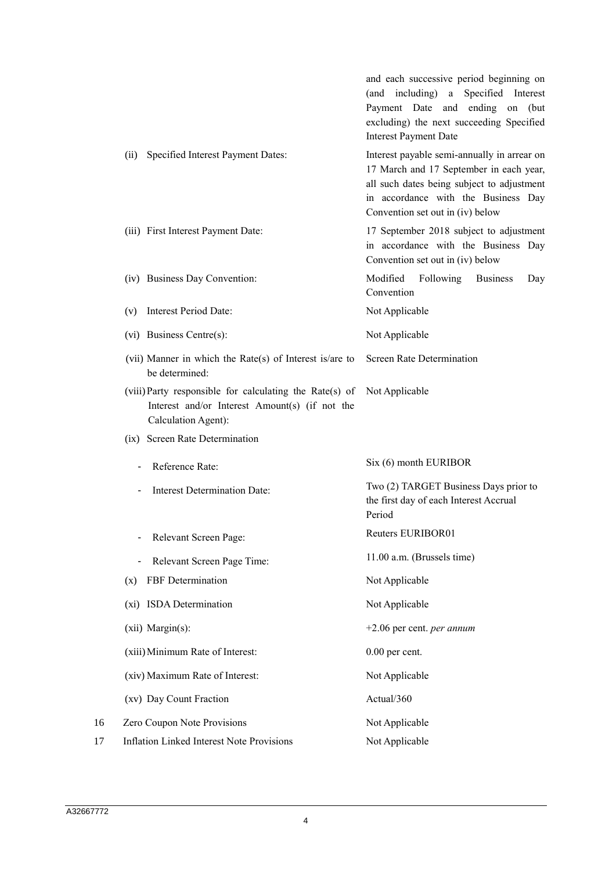|    |                                                                                                                                  | and each successive period beginning on<br>(and including) a Specified Interest<br>Payment Date and ending on (but<br>excluding) the next succeeding Specified<br><b>Interest Payment Date</b>                  |
|----|----------------------------------------------------------------------------------------------------------------------------------|-----------------------------------------------------------------------------------------------------------------------------------------------------------------------------------------------------------------|
|    | Specified Interest Payment Dates:<br>(ii)                                                                                        | Interest payable semi-annually in arrear on<br>17 March and 17 September in each year,<br>all such dates being subject to adjustment<br>in accordance with the Business Day<br>Convention set out in (iv) below |
|    | (iii) First Interest Payment Date:                                                                                               | 17 September 2018 subject to adjustment<br>in accordance with the Business Day<br>Convention set out in (iv) below                                                                                              |
|    | (iv) Business Day Convention:                                                                                                    | Modified<br>Following<br><b>Business</b><br>Day<br>Convention                                                                                                                                                   |
|    | Interest Period Date:<br>(v)                                                                                                     | Not Applicable                                                                                                                                                                                                  |
|    | $(vi)$ Business Centre $(s)$ :                                                                                                   | Not Applicable                                                                                                                                                                                                  |
|    | (vii) Manner in which the Rate $(s)$ of Interest is/are to<br>be determined:                                                     | Screen Rate Determination                                                                                                                                                                                       |
|    | (viii) Party responsible for calculating the Rate(s) of<br>Interest and/or Interest Amount(s) (if not the<br>Calculation Agent): | Not Applicable                                                                                                                                                                                                  |
|    | (ix) Screen Rate Determination                                                                                                   |                                                                                                                                                                                                                 |
|    | Reference Rate:                                                                                                                  | Six (6) month EURIBOR                                                                                                                                                                                           |
|    | <b>Interest Determination Date:</b><br>-                                                                                         | Two (2) TARGET Business Days prior to<br>the first day of each Interest Accrual<br>Period                                                                                                                       |
|    | Relevant Screen Page:                                                                                                            | Reuters EURIBOR01                                                                                                                                                                                               |
|    | Relevant Screen Page Time:                                                                                                       | 11.00 a.m. (Brussels time)                                                                                                                                                                                      |
|    | FBF Determination<br>(x)                                                                                                         | Not Applicable                                                                                                                                                                                                  |
|    | (xi) ISDA Determination                                                                                                          | Not Applicable                                                                                                                                                                                                  |
|    | (xii) Margin(s):                                                                                                                 | $+2.06$ per cent. <i>per annum</i>                                                                                                                                                                              |
|    | (xiii) Minimum Rate of Interest:                                                                                                 | $0.00$ per cent.                                                                                                                                                                                                |
|    | (xiv) Maximum Rate of Interest:                                                                                                  | Not Applicable                                                                                                                                                                                                  |
|    | (xv) Day Count Fraction                                                                                                          | Actual/360                                                                                                                                                                                                      |
| 16 | Zero Coupon Note Provisions                                                                                                      | Not Applicable                                                                                                                                                                                                  |
| 17 | <b>Inflation Linked Interest Note Provisions</b>                                                                                 | Not Applicable                                                                                                                                                                                                  |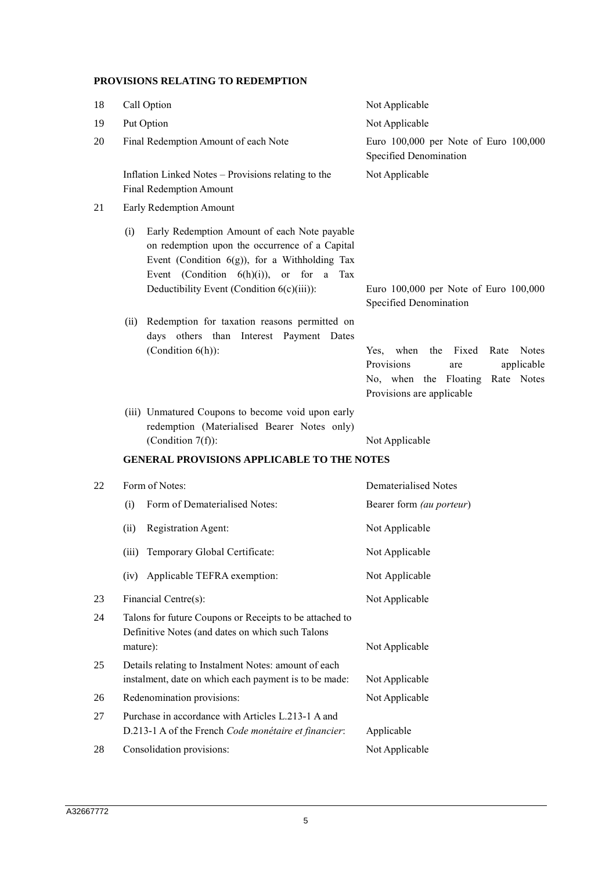### **PROVISIONS RELATING TO REDEMPTION**

| 18 | Call Option                                                                                                                                                                                                                                              | Not Applicable                                                                                                                                           |  |  |  |  |  |  |  |  |  |
|----|----------------------------------------------------------------------------------------------------------------------------------------------------------------------------------------------------------------------------------------------------------|----------------------------------------------------------------------------------------------------------------------------------------------------------|--|--|--|--|--|--|--|--|--|
| 19 | Put Option                                                                                                                                                                                                                                               | Not Applicable                                                                                                                                           |  |  |  |  |  |  |  |  |  |
| 20 | Final Redemption Amount of each Note                                                                                                                                                                                                                     | Euro 100,000 per Note of Euro 100,000<br>Specified Denomination                                                                                          |  |  |  |  |  |  |  |  |  |
|    | Inflation Linked Notes – Provisions relating to the<br><b>Final Redemption Amount</b>                                                                                                                                                                    | Not Applicable                                                                                                                                           |  |  |  |  |  |  |  |  |  |
| 21 | Early Redemption Amount                                                                                                                                                                                                                                  |                                                                                                                                                          |  |  |  |  |  |  |  |  |  |
|    | Early Redemption Amount of each Note payable<br>(i)<br>on redemption upon the occurrence of a Capital<br>Event (Condition $6(g)$ ), for a Withholding Tax<br>Event (Condition $6(h)(i)$ ), or for a<br>Tax<br>Deductibility Event (Condition 6(c)(iii)): | Euro 100,000 per Note of Euro 100,000<br>Specified Denomination                                                                                          |  |  |  |  |  |  |  |  |  |
|    | Redemption for taxation reasons permitted on<br>(ii)<br>days others than Interest Payment Dates<br>(Condition $6(h)$ ):                                                                                                                                  | when<br>the Fixed<br><b>Notes</b><br>Yes.<br>Rate<br>Provisions<br>applicable<br>are<br>No, when the Floating<br>Rate Notes<br>Provisions are applicable |  |  |  |  |  |  |  |  |  |
|    | (iii) Unmatured Coupons to become void upon early<br>redemption (Materialised Bearer Notes only)<br>(Condition $7(f)$ ):                                                                                                                                 | Not Applicable                                                                                                                                           |  |  |  |  |  |  |  |  |  |
|    | <b>GENERAL PROVISIONS APPLICABLE TO THE NOTES</b>                                                                                                                                                                                                        |                                                                                                                                                          |  |  |  |  |  |  |  |  |  |
| 22 | Form of Notes:                                                                                                                                                                                                                                           | Dematerialised Notes                                                                                                                                     |  |  |  |  |  |  |  |  |  |
|    | Form of Dematerialised Notes:<br>(i)                                                                                                                                                                                                                     | Bearer form (au porteur)                                                                                                                                 |  |  |  |  |  |  |  |  |  |
|    | Registration Agent:<br>(ii)                                                                                                                                                                                                                              | Not Applicable                                                                                                                                           |  |  |  |  |  |  |  |  |  |
|    | Temporary Global Certificate:<br>(iii)                                                                                                                                                                                                                   | Not Applicable                                                                                                                                           |  |  |  |  |  |  |  |  |  |
|    | Applicable TEFRA exemption:<br>(iv)                                                                                                                                                                                                                      | Not Applicable                                                                                                                                           |  |  |  |  |  |  |  |  |  |
| 23 | Financial Centre(s):                                                                                                                                                                                                                                     | Not Applicable                                                                                                                                           |  |  |  |  |  |  |  |  |  |
| 24 | Talons for future Coupons or Receipts to be attached to<br>Definitive Notes (and dates on which such Talons<br>mature):                                                                                                                                  | Not Applicable                                                                                                                                           |  |  |  |  |  |  |  |  |  |
| 25 | Details relating to Instalment Notes: amount of each<br>instalment, date on which each payment is to be made:                                                                                                                                            | Not Applicable                                                                                                                                           |  |  |  |  |  |  |  |  |  |
| 26 | Redenomination provisions:                                                                                                                                                                                                                               | Not Applicable                                                                                                                                           |  |  |  |  |  |  |  |  |  |
| 27 | Purchase in accordance with Articles L.213-1 A and                                                                                                                                                                                                       |                                                                                                                                                          |  |  |  |  |  |  |  |  |  |

D.213-1 A of the French *Code monétaire et financier*: Applicable 28 Consolidation provisions: Not Applicable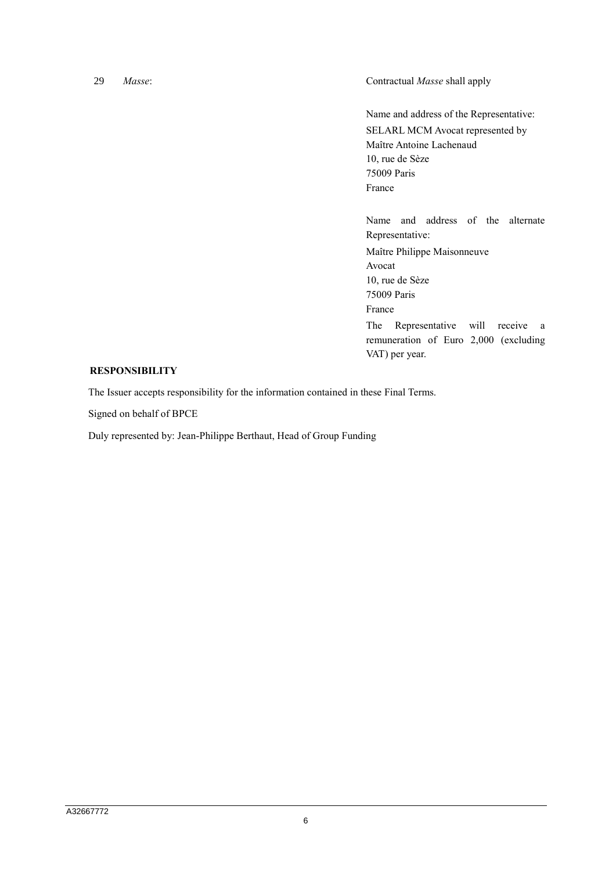29 *Masse*: Contractual *Masse* shall apply

Name and address of the Representative: SELARL MCM Avocat represented by Maître Antoine Lachenaud 10, rue de Sèze 75009 Paris France

Name and address of the alternate Representative:

Maître Philippe Maisonneuve Avocat 10, rue de Sèze 75009 Paris France

The Representative will receive a remuneration of Euro 2,000 (excluding VAT) per year.

## **RESPONSIBILITY**

The Issuer accepts responsibility for the information contained in these Final Terms.

Signed on behalf of BPCE

Duly represented by: Jean-Philippe Berthaut, Head of Group Funding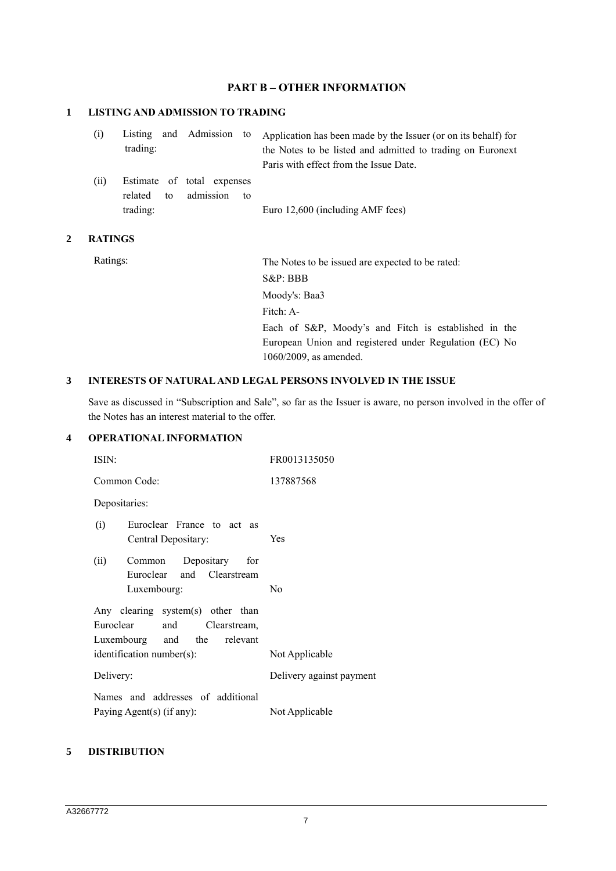## **PART B – OTHER INFORMATION**

### **1 LISTING AND ADMISSION TO TRADING**

| (i)  | Listing and Admission to<br>trading:                  |  |  | Application has been made by the Issuer (or on its behalf) for<br>the Notes to be listed and admitted to trading on Euronext<br>Paris with effect from the Issue Date. |
|------|-------------------------------------------------------|--|--|------------------------------------------------------------------------------------------------------------------------------------------------------------------------|
| (ii) | Estimate of total expenses<br>related to admission to |  |  |                                                                                                                                                                        |

| trading: |  |  | Euro 12,600 (including AMF fees) |  |
|----------|--|--|----------------------------------|--|

#### **2 RATINGS**

Ratings: The Notes to be issued are expected to be rated: S&P: BBB Moody's: Baa3 Fitch: A-Each of S&P, Moody's and Fitch is established in the European Union and registered under Regulation (EC) No 1060/2009, as amended.

# **3 INTERESTS OF NATURAL AND LEGAL PERSONS INVOLVED IN THE ISSUE**

Save as discussed in "Subscription and Sale", so far as the Issuer is aware, no person involved in the offer of the Notes has an interest material to the offer.

### **4 OPERATIONAL INFORMATION**

| ISIN:                                                                                                   | FR0013135050             |
|---------------------------------------------------------------------------------------------------------|--------------------------|
| Common Code:                                                                                            | 137887568                |
| Depositaries:                                                                                           |                          |
| Euroclear France to act as<br>(i)<br>Central Depositary:                                                | <b>Yes</b>               |
| Depositary<br>(ii)<br>for<br>Common<br>Euroclear and<br>Clearstream                                     |                          |
| Luxembourg:                                                                                             | N <sub>0</sub>           |
| Any clearing system(s) other than<br>Euroclear<br>and<br>Clearstream.<br>Luxembourg and the<br>relevant |                          |
| identification number(s):                                                                               | Not Applicable           |
| Delivery:                                                                                               | Delivery against payment |
| Names and addresses of additional                                                                       |                          |
| Paying Agent(s) (if any):                                                                               | Not Applicable           |

#### **5 DISTRIBUTION**